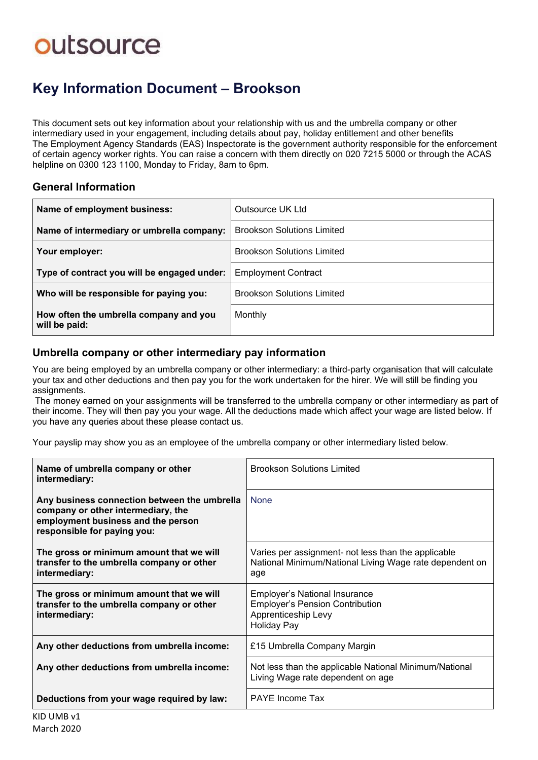# outsource

### **Key Information Document ‒ Brookson**

This document sets out key information about your relationship with us and the umbrella company or other intermediary used in your engagement, including details about pay, holiday entitlement and other benefits The Employment Agency Standards (EAS) Inspectorate is the government authority responsible for the enforcement of certain agency worker rights. You can raise a concern with them directly on 020 7215 5000 or through the ACAS helpline on 0300 123 1100, Monday to Friday, 8am to 6pm.

#### **General Information**

| Name of employment business:                            | Outsource UK Ltd                  |
|---------------------------------------------------------|-----------------------------------|
| Name of intermediary or umbrella company:               | <b>Brookson Solutions Limited</b> |
| Your employer:                                          | <b>Brookson Solutions Limited</b> |
| Type of contract you will be engaged under:             | <b>Employment Contract</b>        |
| Who will be responsible for paying you:                 | <b>Brookson Solutions Limited</b> |
| How often the umbrella company and you<br>will be paid: | Monthly                           |

#### **Umbrella company or other intermediary pay information**

You are being employed by an umbrella company or other intermediary: a third-party organisation that will calculate your tax and other deductions and then pay you for the work undertaken for the hirer. We will still be finding you assignments.

The money earned on your assignments will be transferred to the umbrella company or other intermediary as part of their income. They will then pay you your wage. All the deductions made which affect your wage are listed below. If you have any queries about these please contact us.

Your payslip may show you as an employee of the umbrella company or other intermediary listed below.

| Name of umbrella company or other<br>intermediary:                                                                                                      | <b>Brookson Solutions Limited</b>                                                                                           |  |
|---------------------------------------------------------------------------------------------------------------------------------------------------------|-----------------------------------------------------------------------------------------------------------------------------|--|
| Any business connection between the umbrella<br>company or other intermediary, the<br>employment business and the person<br>responsible for paying you: | <b>None</b>                                                                                                                 |  |
| The gross or minimum amount that we will<br>transfer to the umbrella company or other<br>intermediary:                                                  | Varies per assignment- not less than the applicable<br>National Minimum/National Living Wage rate dependent on<br>age       |  |
| The gross or minimum amount that we will<br>transfer to the umbrella company or other<br>intermediary:                                                  | <b>Employer's National Insurance</b><br><b>Employer's Pension Contribution</b><br>Apprenticeship Levy<br><b>Holiday Pay</b> |  |
| Any other deductions from umbrella income:                                                                                                              | £15 Umbrella Company Margin                                                                                                 |  |
| Any other deductions from umbrella income:                                                                                                              | Not less than the applicable National Minimum/National<br>Living Wage rate dependent on age                                 |  |
| Deductions from your wage required by law:                                                                                                              | <b>PAYE Income Tax</b>                                                                                                      |  |